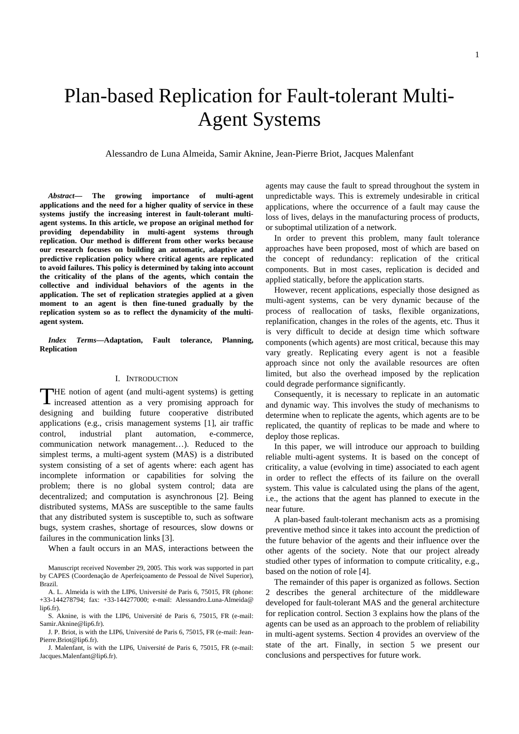# Plan-based Replication for Fault-tolerant Multi-Agent Systems

Alessandro de Luna Almeida, Samir Aknine, Jean-Pierre Briot, Jacques Malenfant

*Abstract***— The growing importance of multi-agent applications and the need for a higher quality of service in these systems justify the increasing interest in fault-tolerant multiagent systems. In this article, we propose an original method for providing dependability in multi-agent systems through replication. Our method is different from other works because our research focuses on building an automatic, adaptive and predictive replication policy where critical agents are replicated to avoid failures. This policy is determined by taking into account the criticality of the plans of the agents, which contain the collective and individual behaviors of the agents in the application. The set of replication strategies applied at a given moment to an agent is then fine-tuned gradually by the replication system so as to reflect the dynamicity of the multiagent system.** 

*Index Terms***—Adaptation, Fault tolerance, Planning, Replication** 

## I. INTRODUCTION

HE notion of agent (and multi-agent systems) is getting THE notion of agent (and multi-agent systems) is getting<br>increased attention as a very promising approach for designing and building future cooperative distributed applications (e.g., crisis management systems [1], air traffic control, industrial plant automation, e-commerce, communication network management…). Reduced to the simplest terms, a multi-agent system (MAS) is a distributed system consisting of a set of agents where: each agent has incomplete information or capabilities for solving the problem; there is no global system control; data are decentralized; and computation is asynchronous [2]. Being distributed systems, MASs are susceptible to the same faults that any distributed system is susceptible to, such as software bugs, system crashes, shortage of resources, slow downs or failures in the communication links [3].

When a fault occurs in an MAS, interactions between the

agents may cause the fault to spread throughout the system in unpredictable ways. This is extremely undesirable in critical applications, where the occurrence of a fault may cause the loss of lives, delays in the manufacturing process of products, or suboptimal utilization of a network.

In order to prevent this problem, many fault tolerance approaches have been proposed, most of which are based on the concept of redundancy: replication of the critical components. But in most cases, replication is decided and applied statically, before the application starts.

However, recent applications, especially those designed as multi-agent systems, can be very dynamic because of the process of reallocation of tasks, flexible organizations, replanification, changes in the roles of the agents, etc. Thus it is very difficult to decide at design time which software components (which agents) are most critical, because this may vary greatly. Replicating every agent is not a feasible approach since not only the available resources are often limited, but also the overhead imposed by the replication could degrade performance significantly.

Consequently, it is necessary to replicate in an automatic and dynamic way. This involves the study of mechanisms to determine when to replicate the agents, which agents are to be replicated, the quantity of replicas to be made and where to deploy those replicas.

In this paper, we will introduce our approach to building reliable multi-agent systems. It is based on the concept of criticality, a value (evolving in time) associated to each agent in order to reflect the effects of its failure on the overall system. This value is calculated using the plans of the agent, i.e., the actions that the agent has planned to execute in the near future.

A plan-based fault-tolerant mechanism acts as a promising preventive method since it takes into account the prediction of the future behavior of the agents and their influence over the other agents of the society. Note that our project already studied other types of information to compute criticality, e.g., based on the notion of role [4].

The remainder of this paper is organized as follows. Section 2 describes the general architecture of the middleware developed for fault-tolerant MAS and the general architecture for replication control. Section 3 explains how the plans of the agents can be used as an approach to the problem of reliability in multi-agent systems. Section 4 provides an overview of the state of the art. Finally, in section 5 we present our conclusions and perspectives for future work.

Manuscript received November 29, 2005. This work was supported in part by CAPES (Coordenação de Aperfeiçoamento de Pessoal de Nível Superior), Brazil.

A. L. Almeida is with the LIP6, Université de Paris 6, 75015, FR (phone: +33-144278794; fax: +33-144277000; e-mail: Alessandro.Luna-Almeida@ lip6.fr).

S. Aknine, is with the LIP6, Université de Paris 6, 75015, FR (e-mail: Samir.Aknine@lip6.fr).

J. P. Briot, is with the LIP6, Université de Paris 6, 75015, FR (e-mail: Jean-Pierre.Briot@lip6.fr).

J. Malenfant, is with the LIP6, Université de Paris 6, 75015, FR (e-mail: Jacques.Malenfant@lip6.fr).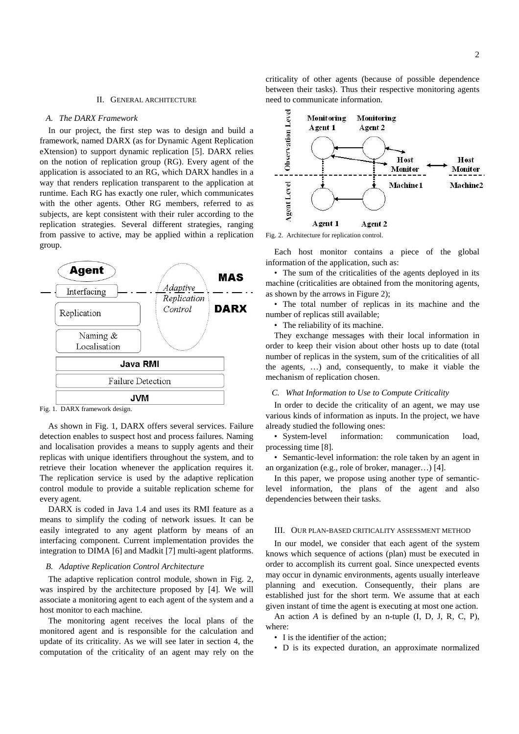#### II. GENERAL ARCHITECTURE

#### *A. The DARX Framework*

In our project, the first step was to design and build a framework, named DARX (as for Dynamic Agent Replication eXtension) to support dynamic replication [5]. DARX relies on the notion of replication group (RG). Every agent of the application is associated to an RG, which DARX handles in a way that renders replication transparent to the application at runtime. Each RG has exactly one ruler, which communicates with the other agents. Other RG members, referred to as subjects, are kept consistent with their ruler according to the replication strategies. Several different strategies, ranging from passive to active, may be applied within a replication group.



Fig. 1. DARX framework design.

As shown in Fig. 1, DARX offers several services. Failure detection enables to suspect host and process failures. Naming and localisation provides a means to supply agents and their replicas with unique identifiers throughout the system, and to retrieve their location whenever the application requires it. The replication service is used by the adaptive replication control module to provide a suitable replication scheme for every agent.

DARX is coded in Java 1.4 and uses its RMI feature as a means to simplify the coding of network issues. It can be easily integrated to any agent platform by means of an interfacing component. Current implementation provides the integration to DIMA [6] and Madkit [7] multi-agent platforms.

# *B. Adaptive Replication Control Architecture*

The adaptive replication control module, shown in Fig. 2, was inspired by the architecture proposed by [4]. We will associate a monitoring agent to each agent of the system and a host monitor to each machine.

The monitoring agent receives the local plans of the monitored agent and is responsible for the calculation and update of its criticality. As we will see later in section 4, the computation of the criticality of an agent may rely on the criticality of other agents (because of possible dependence between their tasks). Thus their respective monitoring agents need to communicate information.



Fig. 2. Architecture for replication control.

Each host monitor contains a piece of the global information of the application, such as:

• The sum of the criticalities of the agents deployed in its machine (criticalities are obtained from the monitoring agents, as shown by the arrows in Figure 2);

• The total number of replicas in its machine and the number of replicas still available;

• The reliability of its machine.

They exchange messages with their local information in order to keep their vision about other hosts up to date (total number of replicas in the system, sum of the criticalities of all the agents, …) and, consequently, to make it viable the mechanism of replication chosen.

#### *C. What Information to Use to Compute Criticality*

In order to decide the criticality of an agent, we may use various kinds of information as inputs. In the project, we have already studied the following ones:

• System-level information: communication load, processing time [8].

• Semantic-level information: the role taken by an agent in an organization (e.g., role of broker, manager…) [4].

In this paper, we propose using another type of semanticlevel information, the plans of the agent and also dependencies between their tasks.

#### III. OUR PLAN-BASED CRITICALITY ASSESSMENT METHOD

In our model, we consider that each agent of the system knows which sequence of actions (plan) must be executed in order to accomplish its current goal. Since unexpected events may occur in dynamic environments, agents usually interleave planning and execution. Consequently, their plans are established just for the short term. We assume that at each given instant of time the agent is executing at most one action.

An action *A* is defined by an n-tuple (I, D, J, R, C, P), where:

- I is the identifier of the action;
- D is its expected duration, an approximate normalized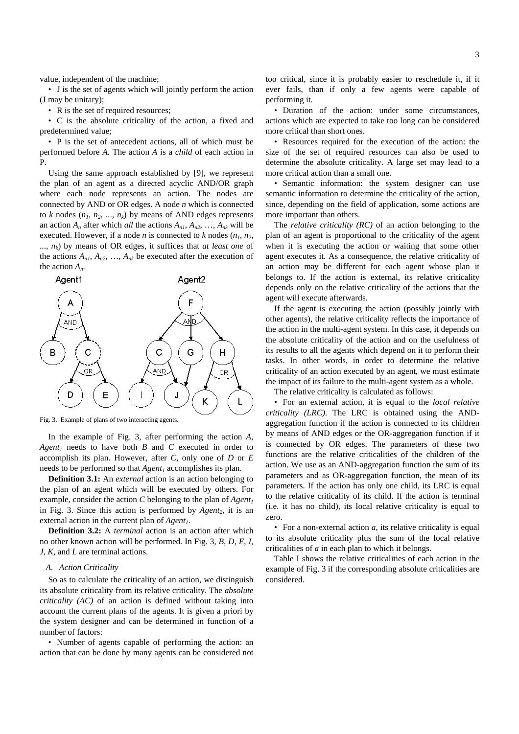value, independent of the machine;

• J is the set of agents which will jointly perform the action (J may be unitary);

• R is the set of required resources;

• C is the absolute criticality of the action, a fixed and predetermined value;

• P is the set of antecedent actions, all of which must be performed before *A*. The action *A* is a *child* of each action in P.

Using the same approach established by [9], we represent the plan of an agent as a directed acyclic AND/OR graph where each node represents an action. The nodes are connected by AND or OR edges. A node *n* which is connected to  $k$  nodes  $(n_1, n_2, ..., n_k)$  by means of AND edges represents an action  $A_n$  after which *all* the actions  $A_{n,l}, A_{n2}, \ldots, A_{nk}$  will be executed. However, if a node *n* is connected to *k* nodes  $(n_1, n_2,$ ..., *nk*) by means of OR edges, it suffices that *at least one* of the actions  $A_{n1}$ ,  $A_{n2}$ , ...,  $A_{nk}$  be executed after the execution of the action *An*.



Fig. 3. Example of plans of two interacting agents.

In the example of Fig. 3, after performing the action *A*, *Agent<sub>1</sub>* needs to have both *B* and *C* executed in order to accomplish its plan. However, after *C*, only one of *D* or *E* needs to be performed so that *Agent<sub>1</sub>* accomplishes its plan.

**Definition 3.1:** An *external* action is an action belonging to the plan of an agent which will be executed by others. For example, consider the action *C* belonging to the plan of  $Agent_1$ in Fig. 3. Since this action is performed by *Agent<sub>2</sub>*, it is an external action in the current plan of *Agent<sub>1</sub>*.

**Definition 3.2:** A *terminal* action is an action after which no other known action will be performed. In Fig. 3, *B*, *D*, *E*, *I*, *J*, *K*, and *L* are terminal actions.

## *A. Action Criticality*

So as to calculate the criticality of an action, we distinguish its absolute criticality from its relative criticality. The *absolute criticality (AC)* of an action is defined without taking into account the current plans of the agents. It is given a priori by the system designer and can be determined in function of a number of factors:

• Number of agents capable of performing the action: an action that can be done by many agents can be considered not too critical, since it is probably easier to reschedule it, if it ever fails, than if only a few agents were capable of performing it.

• Duration of the action: under some circumstances, actions which are expected to take too long can be considered more critical than short ones.

• Resources required for the execution of the action: the size of the set of required resources can also be used to determine the absolute criticality. A large set may lead to a more critical action than a small one.

• Semantic information: the system designer can use semantic information to determine the criticality of the action, since, depending on the field of application, some actions are more important than others.

The *relative criticality (RC)* of an action belonging to the plan of an agent is proportional to the criticality of the agent when it is executing the action or waiting that some other agent executes it. As a consequence, the relative criticality of an action may be different for each agent whose plan it belongs to. If the action is external, its relative criticality depends only on the relative criticality of the actions that the agent will execute afterwards.

If the agent is executing the action (possibly jointly with other agents), the relative criticality reflects the importance of the action in the multi-agent system. In this case, it depends on the absolute criticality of the action and on the usefulness of its results to all the agents which depend on it to perform their tasks. In other words, in order to determine the relative criticality of an action executed by an agent, we must estimate the impact of its failure to the multi-agent system as a whole.

The relative criticality is calculated as follows:

• For an external action, it is equal to the *local relative criticality (LRC)*. The LRC is obtained using the ANDaggregation function if the action is connected to its children by means of AND edges or the OR-aggregation function if it is connected by OR edges. The parameters of these two functions are the relative criticalities of the children of the action. We use as an AND-aggregation function the sum of its parameters and as OR-aggregation function, the mean of its parameters. If the action has only one child, its LRC is equal to the relative criticality of its child. If the action is terminal (i.e. it has no child), its local relative criticality is equal to zero.

• For a non-external action *a*, its relative criticality is equal to its absolute criticality plus the sum of the local relative criticalities of *a* in each plan to which it belongs.

Table I shows the relative criticalities of each action in the example of Fig. 3 if the corresponding absolute criticalities are considered.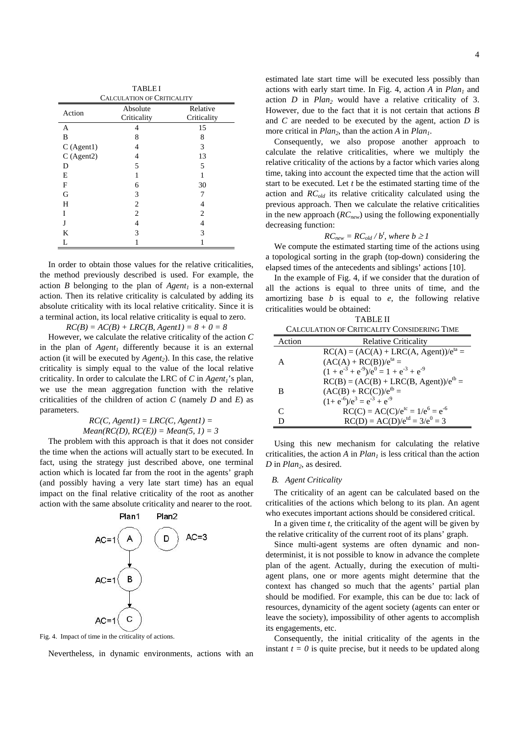| <b>TABLEI</b>                     |                |                |
|-----------------------------------|----------------|----------------|
| <b>CALCULATION OF CRITICALITY</b> |                |                |
| Action                            | Absolute       | Relative       |
|                                   | Criticality    | Criticality    |
| A                                 | 4              | 15             |
| B                                 | 8              | 8              |
| C(Agent1)                         | 4              | 3              |
| C(Agent2)                         | 4              | 13             |
| D                                 | 5              | 5              |
| E                                 |                |                |
| F                                 | 6              | 30             |
| G                                 | 3              |                |
| H                                 | $\overline{2}$ | 4              |
| Ī                                 | $\overline{c}$ | $\mathfrak{D}$ |
| J                                 | 4              | 4              |
| K                                 | 3              | 3              |
| L                                 |                |                |

In order to obtain those values for the relative criticalities, the method previously described is used. For example, the action *B* belonging to the plan of  $Agent_1$  is a non-external action. Then its relative criticality is calculated by adding its absolute criticality with its local relative criticality. Since it is a terminal action, its local relative criticality is equal to zero.

 $RC(B) = AC(B) + LRC(B, Agent1) = 8 + 0 = 8$ 

However, we calculate the relative criticality of the action *C* in the plan of  $Agent_1$  differently because it is an external action (it will be executed by *Agent<sub>2</sub>*). In this case, the relative criticality is simply equal to the value of the local relative criticality. In order to calculate the LRC of  $C$  in  $Agent_i$ 's plan, we use the mean aggregation function with the relative criticalities of the children of action *C* (namely *D* and *E*) as parameters.

> $RC(C, Agent1) = LRC(C, Agent1) =$  $Mean(RC(D), RC(E)) = Mean(5, 1) = 3$

The problem with this approach is that it does not consider the time when the actions will actually start to be executed. In fact, using the strategy just described above, one terminal action which is located far from the root in the agents' graph (and possibly having a very late start time) has an equal impact on the final relative criticality of the root as another action with the same absolute criticality and nearer to the root.



Fig. 4. Impact of time in the criticality of actions.

Nevertheless, in dynamic environments, actions with an

estimated late start time will be executed less possibly than actions with early start time. In Fig. 4, action  $A$  in  $Plan<sub>1</sub>$  and action  $D$  in  $Plan_2$  would have a relative criticality of 3. However, due to the fact that it is not certain that actions *B* and *C* are needed to be executed by the agent, action *D* is more critical in *Plan<sub>2</sub>*, than the action *A* in *Plan<sub>1</sub>*.

Consequently, we also propose another approach to calculate the relative criticalities, where we multiply the relative criticality of the actions by a factor which varies along time, taking into account the expected time that the action will start to be executed. Let *t* be the estimated starting time of the action and *RCold* its relative criticality calculated using the previous approach. Then we calculate the relative criticalities in the new approach  $(RC_{new})$  using the following exponentially decreasing function:

$$
RC_{new} = RC_{old}/b^t
$$
, where  $b \ge 1$ 

We compute the estimated starting time of the actions using a topological sorting in the graph (top-down) considering the elapsed times of the antecedents and siblings' actions [10].

In the example of Fig. 4, if we consider that the duration of all the actions is equal to three units of time, and the amortizing base *b* is equal to *e*, the following relative criticalities would be obtained:

| TABLE II                                    |                                                     |  |
|---------------------------------------------|-----------------------------------------------------|--|
| CALCULATION OF CRITICALITY CONSIDERING TIME |                                                     |  |
| Action                                      | <b>Relative Criticality</b>                         |  |
|                                             | $RC(A) = (AC(A) + LRC(A, Agent))/e^{ta} =$          |  |
| А                                           | $(AC(A) + RC(B))$ / $e^{ta} =$                      |  |
|                                             | $(1 + e^{-3} + e^{-9})/e^{0} = 1 + e^{-3} + e^{-9}$ |  |
|                                             | $RC(B) = (AC(B) + LRC(B, Agent))/e^{tb} =$          |  |
| В                                           | $(AC(B) + RC(C))$ / $e^{tb} =$                      |  |
|                                             | $(1+e^{-6})/e^{3} = e^{-3} + e^{-9}$                |  |
| C                                           | $RC(C) = AC(C)/e^{tc} = 1/e^6 = e^{-6}$             |  |
|                                             | $RC(D) = AC(D)/e^{td} = 3/e^{0} = 3$                |  |

Using this new mechanism for calculating the relative criticalities, the action  $A$  in  $Plan<sub>1</sub>$  is less critical than the action *D* in *Plan*<sub>2</sub>, as desired.

### *B. Agent Criticality*

The criticality of an agent can be calculated based on the criticalities of the actions which belong to its plan. An agent who executes important actions should be considered critical.

In a given time *t*, the criticality of the agent will be given by the relative criticality of the current root of its plans' graph.

Since multi-agent systems are often dynamic and nondeterminist, it is not possible to know in advance the complete plan of the agent. Actually, during the execution of multiagent plans, one or more agents might determine that the context has changed so much that the agents' partial plan should be modified. For example, this can be due to: lack of resources, dynamicity of the agent society (agents can enter or leave the society), impossibility of other agents to accomplish its engagements, etc.

Consequently, the initial criticality of the agents in the instant  $t = 0$  is quite precise, but it needs to be updated along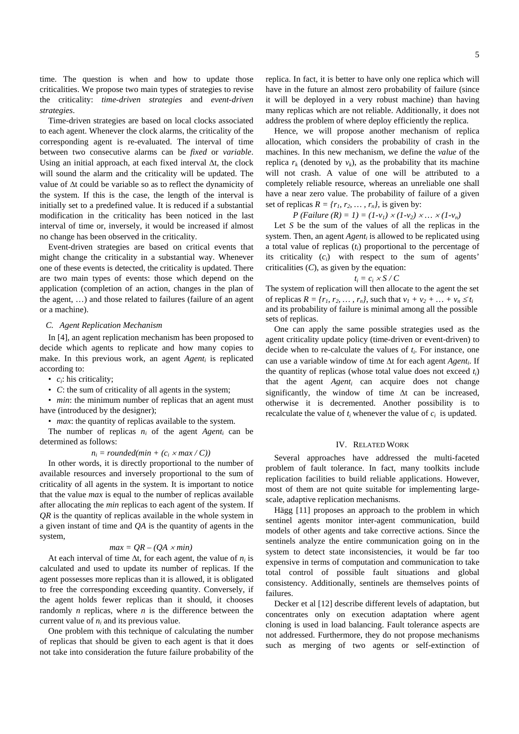time. The question is when and how to update those criticalities. We propose two main types of strategies to revise the criticality: *time-driven strategies* and *event-driven strategies*.

Time-driven strategies are based on local clocks associated to each agent. Whenever the clock alarms, the criticality of the corresponding agent is re-evaluated. The interval of time between two consecutive alarms can be *fixed* or *variable*. Using an initial approach, at each fixed interval ∆t, the clock will sound the alarm and the criticality will be updated. The value of ∆t could be variable so as to reflect the dynamicity of the system. If this is the case, the length of the interval is initially set to a predefined value. It is reduced if a substantial modification in the criticality has been noticed in the last interval of time or, inversely, it would be increased if almost no change has been observed in the criticality.

Event-driven strategies are based on critical events that might change the criticality in a substantial way. Whenever one of these events is detected, the criticality is updated. There are two main types of events: those which depend on the application (completion of an action, changes in the plan of the agent, …) and those related to failures (failure of an agent or a machine).

## *C. Agent Replication Mechanism*

In [4], an agent replication mechanism has been proposed to decide which agents to replicate and how many copies to make. In this previous work, an agent *Agent<sub>i</sub>* is replicated according to:

• *ci*: his criticality;

• *C*: the sum of criticality of all agents in the system;

• *min*: the minimum number of replicas that an agent must have (introduced by the designer);

• *max*: the quantity of replicas available to the system.

The number of replicas  $n_i$  of the agent  $Agent_i$  can be determined as follows:

## $n_i = rounded(min + (c_i \times max / C))$

In other words, it is directly proportional to the number of available resources and inversely proportional to the sum of criticality of all agents in the system. It is important to notice that the value *max* is equal to the number of replicas available after allocating the *min* replicas to each agent of the system. If *QR* is the quantity of replicas available in the whole system in a given instant of time and *QA* is the quantity of agents in the system,

## $max = QR - (QA \times min)$

At each interval of time  $\Delta t$ , for each agent, the value of  $n_i$  is calculated and used to update its number of replicas. If the agent possesses more replicas than it is allowed, it is obligated to free the corresponding exceeding quantity. Conversely, if the agent holds fewer replicas than it should, it chooses randomly *n* replicas, where *n* is the difference between the current value of *ni* and its previous value.

One problem with this technique of calculating the number of replicas that should be given to each agent is that it does not take into consideration the future failure probability of the replica. In fact, it is better to have only one replica which will have in the future an almost zero probability of failure (since it will be deployed in a very robust machine) than having many replicas which are not reliable. Additionally, it does not address the problem of where deploy efficiently the replica.

Hence, we will propose another mechanism of replica allocation, which considers the probability of crash in the machines. In this new mechanism, we define the *value* of the replica  $r_k$  (denoted by  $v_k$ ), as the probability that its machine will not crash. A value of one will be attributed to a completely reliable resource, whereas an unreliable one shall have a near zero value. The probability of failure of a given set of replicas  $R = \{r_1, r_2, \dots, r_n\}$ , is given by:

*P* (*Failure (R)* = 1) =  $(1-v_1) \times (1-v_2) \times ... \times (1-v_n)$ 

Let *S* be the sum of the values of all the replicas in the system. Then, an agent *Agent<sub>i</sub>* is allowed to be replicated using a total value of replicas (*ti*) proportional to the percentage of its criticality (*ci*) with respect to the sum of agents' criticalities (*C*), as given by the equation:

#### $t_i = c_i \times S / C$

The system of replication will then allocate to the agent the set of replicas  $R = \{r_1, r_2, ..., r_n\}$ , such that  $v_1 + v_2 + ... + v_n \le t_i$ and its probability of failure is minimal among all the possible sets of replicas.

One can apply the same possible strategies used as the agent criticality update policy (time-driven or event-driven) to decide when to re-calculate the values of *ti*. For instance, one can use a variable window of time ∆t for each agent *Agenti*. If the quantity of replicas (whose total value does not exceed *ti*) that the agent *Agenti* can acquire does not change significantly, the window of time ∆t can be increased, otherwise it is decremented. Another possibility is to recalculate the value of  $t_i$  whenever the value of  $c_i$  is updated.

# IV. RELATED WORK

Several approaches have addressed the multi-faceted problem of fault tolerance. In fact, many toolkits include replication facilities to build reliable applications. However, most of them are not quite suitable for implementing largescale, adaptive replication mechanisms.

Hägg [11] proposes an approach to the problem in which sentinel agents monitor inter-agent communication, build models of other agents and take corrective actions. Since the sentinels analyze the entire communication going on in the system to detect state inconsistencies, it would be far too expensive in terms of computation and communication to take total control of possible fault situations and global consistency. Additionally, sentinels are themselves points of failures.

Decker et al [12] describe different levels of adaptation, but concentrates only on execution adaptation where agent cloning is used in load balancing. Fault tolerance aspects are not addressed. Furthermore, they do not propose mechanisms such as merging of two agents or self-extinction of